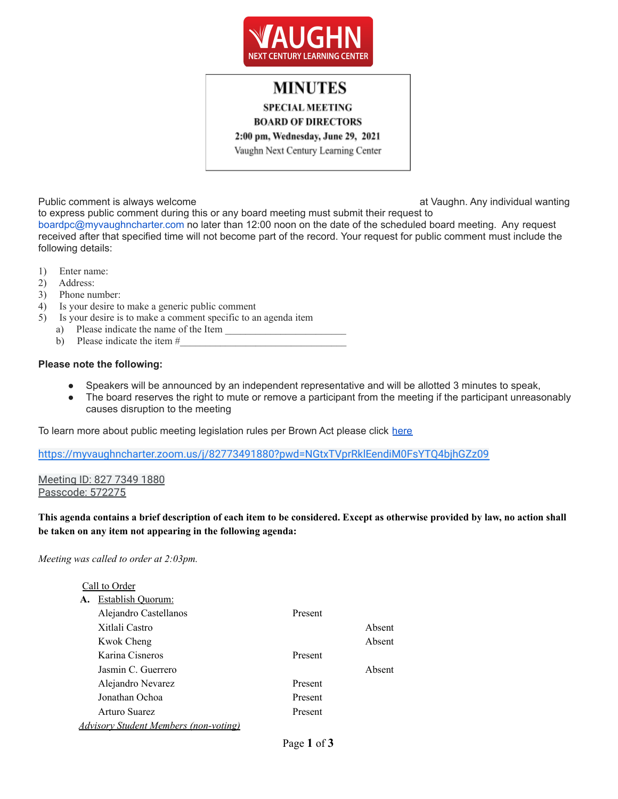

# **MINUTES**

**SPECIAL MEETING** 

**BOARD OF DIRECTORS** 

2:00 pm, Wednesday, June 29, 2021

Vaughn Next Century Learning Center

Public comment is always welcome at Vaughn. Any individual wanting

to express public comment during this or any board meeting must submit their request to boardpc@myvaughncharter.com no later than 12:00 noon on the date of the scheduled board meeting. Any request received after that specified time will not become part of the record. Your request for public comment must include the following details:

- 1) Enter name:
- 2) Address:
- 3) Phone number:
- 4) Is your desire to make a generic public comment
- 5) Is your desire is to make a comment specific to an agenda item
	- a) Please indicate the name of the Item
	- b) Please indicate the item  $#$

### **Please note the following:**

- Speakers will be announced by an independent representative and will be allotted 3 minutes to speak,
- The board reserves the right to mute or remove a participant from the meeting if the participant unreasonably causes disruption to the meeting

To learn more about public meeting legislation rules per Brown Act please click [here](https://leginfo.legislature.ca.gov/faces/billTextClient.xhtml?bill_id=201520160AB1787)

<https://myvaughncharter.zoom.us/j/82773491880?pwd=NGtxTVprRklEendiM0FsYTQ4bjhGZz09>

Meeting ID: 827 7349 1880 Passcode: 572275

This agenda contains a brief description of each item to be considered. Except as otherwise provided by law, no action shall **be taken on any item not appearing in the following agenda:**

### *Meeting was called to order at 2:03pm.*

### Call to Order

| A. | Establish Quorum:                     |         |        |
|----|---------------------------------------|---------|--------|
|    | Alejandro Castellanos                 | Present |        |
|    | Xitlali Castro                        |         | Absent |
|    | Kwok Cheng                            |         | Absent |
|    | Karina Cisneros                       | Present |        |
|    | Jasmin C. Guerrero                    |         | Absent |
|    | Alejandro Nevarez                     | Present |        |
|    | Jonathan Ochoa                        | Present |        |
|    | Arturo Suarez                         | Present |        |
|    | Advisory Student Members (non-voting) |         |        |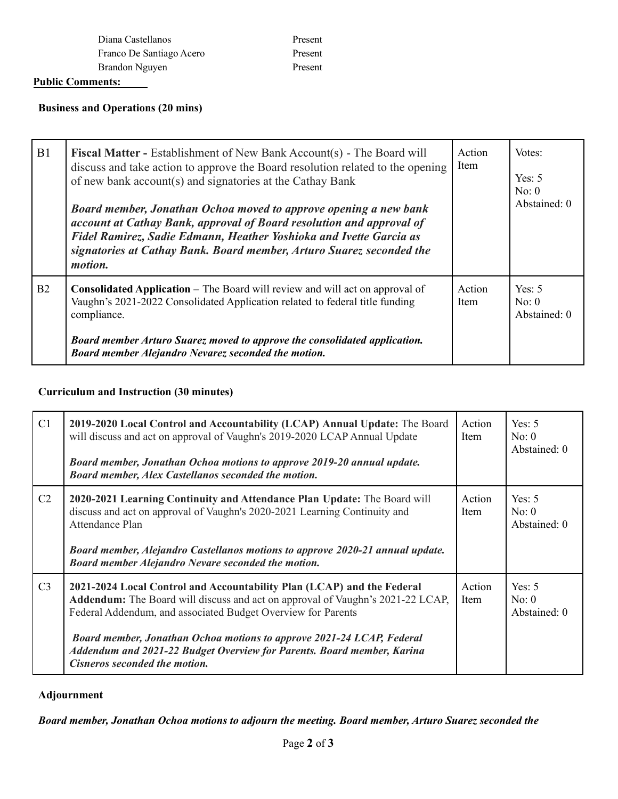| Diana Castellanos        |
|--------------------------|
| Franco De Santiago Acero |
| Brandon Nguyen           |

Present Present Present

# **Public Comments:**

# **Business and Operations (20 mins)**

| B1 | <b>Fiscal Matter - Establishment of New Bank Account(s) - The Board will</b><br>discuss and take action to approve the Board resolution related to the opening<br>of new bank account(s) and signatories at the Cathay Bank<br>Board member, Jonathan Ochoa moved to approve opening a new bank<br>account at Cathay Bank, approval of Board resolution and approval of<br>Fidel Ramirez, Sadie Edmann, Heather Yoshioka and Ivette Garcia as<br>signatories at Cathay Bank. Board member, Arturo Suarez seconded the<br>motion. | Action<br>Item | Votes:<br>Yes: $5$<br>No: 0<br>Abstained: 0 |
|----|----------------------------------------------------------------------------------------------------------------------------------------------------------------------------------------------------------------------------------------------------------------------------------------------------------------------------------------------------------------------------------------------------------------------------------------------------------------------------------------------------------------------------------|----------------|---------------------------------------------|
| B2 | <b>Consolidated Application – The Board will review and will act on approval of</b><br>Vaughn's 2021-2022 Consolidated Application related to federal title funding<br>compliance.<br>Board member Arturo Suarez moved to approve the consolidated application.<br>Board member Alejandro Nevarez seconded the motion.                                                                                                                                                                                                           | Action<br>Item | Yes: $5$<br>No: 0<br>Abstained: 0           |

# **Curriculum and Instruction (30 minutes)**

| C1             | 2019-2020 Local Control and Accountability (LCAP) Annual Update: The Board<br>will discuss and act on approval of Vaughn's 2019-2020 LCAP Annual Update<br>Board member, Jonathan Ochoa motions to approve 2019-20 annual update.<br>Board member, Alex Castellanos seconded the motion.                                                                                                                            | Action<br><b>Item</b> | Yes: $5$<br>No: 0<br>Abstained: 0 |
|----------------|---------------------------------------------------------------------------------------------------------------------------------------------------------------------------------------------------------------------------------------------------------------------------------------------------------------------------------------------------------------------------------------------------------------------|-----------------------|-----------------------------------|
| C <sub>2</sub> | 2020-2021 Learning Continuity and Attendance Plan Update: The Board will<br>discuss and act on approval of Vaughn's 2020-2021 Learning Continuity and<br>Attendance Plan<br>Board member, Alejandro Castellanos motions to approve 2020-21 annual update.<br>Board member Alejandro Nevare seconded the motion.                                                                                                     | Action<br>Item        | Yes: $5$<br>No: 0<br>Abstained: 0 |
| C <sub>3</sub> | 2021-2024 Local Control and Accountability Plan (LCAP) and the Federal<br><b>Addendum:</b> The Board will discuss and act on approval of Vaughn's 2021-22 LCAP,<br>Federal Addendum, and associated Budget Overview for Parents<br>Board member, Jonathan Ochoa motions to approve 2021-24 LCAP, Federal<br>Addendum and 2021-22 Budget Overview for Parents. Board member, Karina<br>Cisneros seconded the motion. | Action<br>Item        | Yes: $5$<br>No: 0<br>Abstained: 0 |

# **Adjournment**

*Board member, Jonathan Ochoa motions to adjourn the meeting. Board member, Arturo Suarez seconded the*